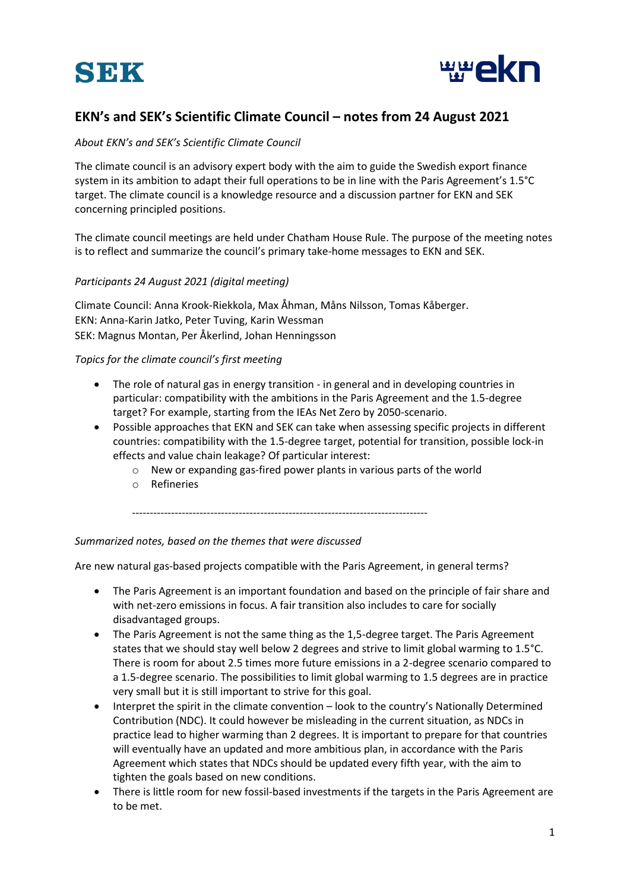



## **EKN's and SEK's Scientific Climate Council – notes from 24 August 2021**

## *About EKN's and SEK's Scientific Climate Council*

The climate council is an advisory expert body with the aim to guide the Swedish export finance system in its ambition to adapt their full operations to be in line with the Paris Agreement's 1.5°C target. The climate council is a knowledge resource and a discussion partner for EKN and SEK concerning principled positions.

The climate council meetings are held under Chatham House Rule. The purpose of the meeting notes is to reflect and summarize the council's primary take-home messages to EKN and SEK.

## *Participants 24 August 2021 (digital meeting)*

Climate Council: Anna Krook-Riekkola, Max Åhman, Måns Nilsson, Tomas Kåberger. EKN: Anna-Karin Jatko, Peter Tuving, Karin Wessman SEK: Magnus Montan, Per Åkerlind, Johan Henningsson

*Topics for the climate council's first meeting*

- The role of natural gas in energy transition in general and in developing countries in particular: compatibility with the ambitions in the Paris Agreement and the 1.5-degree target? For example, starting from the IEAs Net Zero by 2050-scenario.
- Possible approaches that EKN and SEK can take when assessing specific projects in different countries: compatibility with the 1.5-degree target, potential for transition, possible lock-in effects and value chain leakage? Of particular interest:
	- o New or expanding gas-fired power plants in various parts of the world
	- o Refineries

-----------------------------------------------------------------------------------

## *Summarized notes, based on the themes that were discussed*

Are new natural gas-based projects compatible with the Paris Agreement, in general terms?

- The Paris Agreement is an important foundation and based on the principle of fair share and with net-zero emissions in focus. A fair transition also includes to care for socially disadvantaged groups.
- The Paris Agreement is not the same thing as the 1,5-degree target. The Paris Agreement states that we should stay well below 2 degrees and strive to limit global warming to 1.5°C. There is room for about 2.5 times more future emissions in a 2-degree scenario compared to a 1.5-degree scenario. The possibilities to limit global warming to 1.5 degrees are in practice very small but it is still important to strive for this goal.
- Interpret the spirit in the climate convention look to the country's Nationally Determined Contribution (NDC). It could however be misleading in the current situation, as NDCs in practice lead to higher warming than 2 degrees. It is important to prepare for that countries will eventually have an updated and more ambitious plan, in accordance with the Paris Agreement which states that NDCs should be updated every fifth year, with the aim to tighten the goals based on new conditions.
- There is little room for new fossil-based investments if the targets in the Paris Agreement are to be met.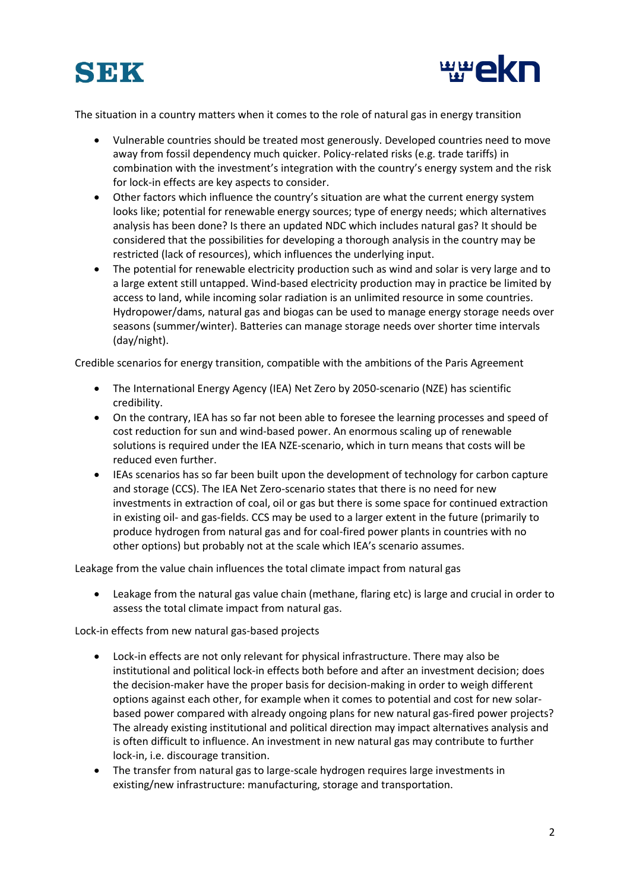



The situation in a country matters when it comes to the role of natural gas in energy transition

- Vulnerable countries should be treated most generously. Developed countries need to move away from fossil dependency much quicker. Policy-related risks (e.g. trade tariffs) in combination with the investment's integration with the country's energy system and the risk for lock-in effects are key aspects to consider.
- Other factors which influence the country's situation are what the current energy system looks like; potential for renewable energy sources; type of energy needs; which alternatives analysis has been done? Is there an updated NDC which includes natural gas? It should be considered that the possibilities for developing a thorough analysis in the country may be restricted (lack of resources), which influences the underlying input.
- The potential for renewable electricity production such as wind and solar is very large and to a large extent still untapped. Wind-based electricity production may in practice be limited by access to land, while incoming solar radiation is an unlimited resource in some countries. Hydropower/dams, natural gas and biogas can be used to manage energy storage needs over seasons (summer/winter). Batteries can manage storage needs over shorter time intervals (day/night).

Credible scenarios for energy transition, compatible with the ambitions of the Paris Agreement

- The International Energy Agency (IEA) Net Zero by 2050-scenario (NZE) has scientific credibility.
- On the contrary, IEA has so far not been able to foresee the learning processes and speed of cost reduction for sun and wind-based power. An enormous scaling up of renewable solutions is required under the IEA NZE-scenario, which in turn means that costs will be reduced even further.
- IEAs scenarios has so far been built upon the development of technology for carbon capture and storage (CCS). The IEA Net Zero-scenario states that there is no need for new investments in extraction of coal, oil or gas but there is some space for continued extraction in existing oil- and gas-fields. CCS may be used to a larger extent in the future (primarily to produce hydrogen from natural gas and for coal-fired power plants in countries with no other options) but probably not at the scale which IEA's scenario assumes.

Leakage from the value chain influences the total climate impact from natural gas

• Leakage from the natural gas value chain (methane, flaring etc) is large and crucial in order to assess the total climate impact from natural gas.

Lock-in effects from new natural gas-based projects

- Lock-in effects are not only relevant for physical infrastructure. There may also be institutional and political lock-in effects both before and after an investment decision; does the decision-maker have the proper basis for decision-making in order to weigh different options against each other, for example when it comes to potential and cost for new solarbased power compared with already ongoing plans for new natural gas-fired power projects? The already existing institutional and political direction may impact alternatives analysis and is often difficult to influence. An investment in new natural gas may contribute to further lock-in, i.e. discourage transition.
- The transfer from natural gas to large-scale hydrogen requires large investments in existing/new infrastructure: manufacturing, storage and transportation.